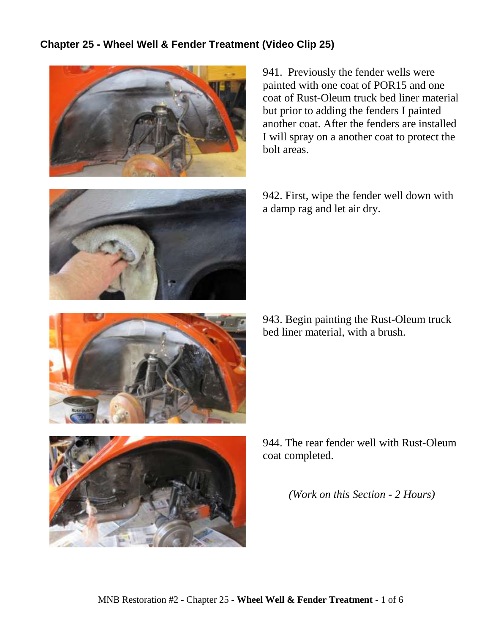## **Chapter 25 - Wheel Well & Fender Treatment (Video Clip 25)**



941. Previously the fender wells were painted with one coat of POR15 and one coat of Rust-Oleum truck bed liner material but prior to adding the fenders I painted another coat. After the fenders are installed I will spray on a another coat to protect the bolt areas.



942. First, wipe the fender well down with a damp rag and let air dry.

943. Begin painting the Rust-Oleum truck bed liner material, with a brush.





944. The rear fender well with Rust-Oleum coat completed.

*(Work on this Section - 2 Hours)*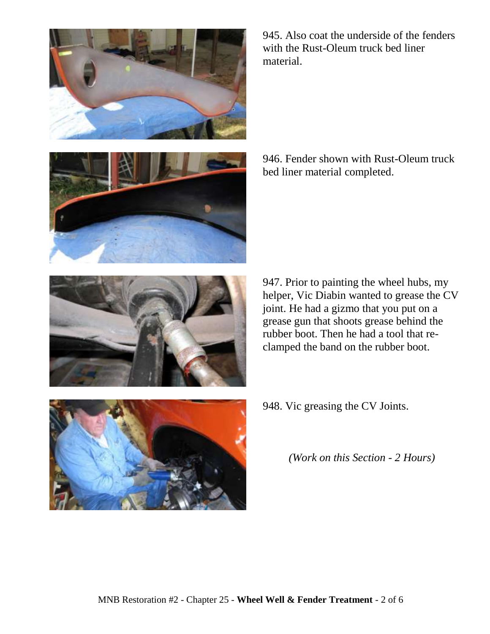





945. Also coat the underside of the fenders with the Rust-Oleum truck bed liner material.

946. Fender shown with Rust-Oleum truck bed liner material completed.

947. Prior to painting the wheel hubs, my helper, Vic Diabin wanted to grease the CV joint. He had a gizmo that you put on a grease gun that shoots grease behind the rubber boot. Then he had a tool that reclamped the band on the rubber boot.



948. Vic greasing the CV Joints.

*(Work on this Section - 2 Hours)*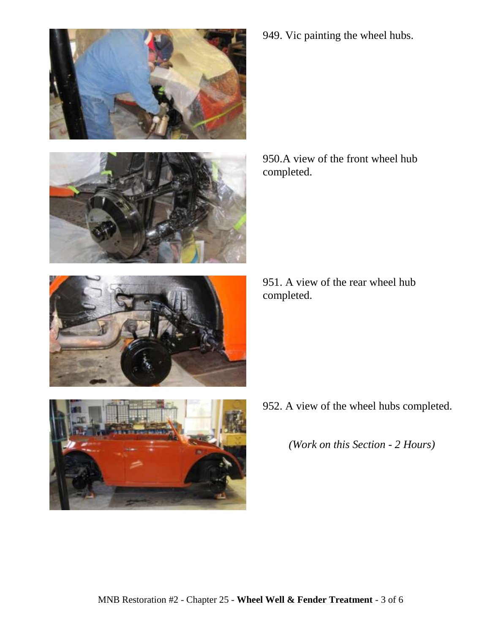





949. Vic painting the wheel hubs.

950.A view of the front wheel hub completed.

951. A view of the rear wheel hub completed.

952. A view of the wheel hubs completed.

*(Work on this Section - 2 Hours)*

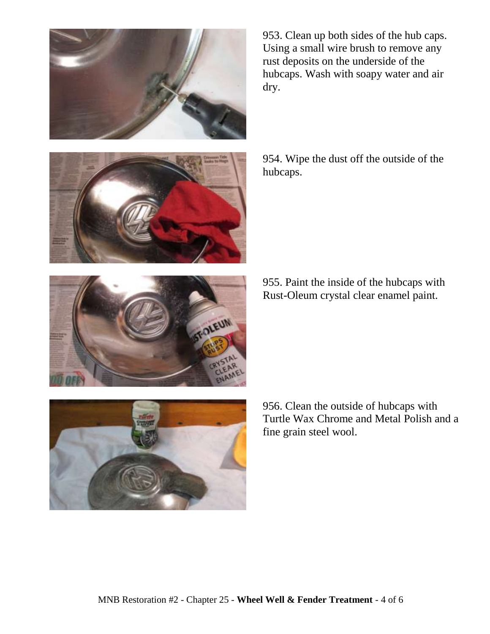



953. Clean up both sides of the hub caps. Using a small wire brush to remove any rust deposits on the underside of the hubcaps. Wash with soapy water and air dry.

954. Wipe the dust off the outside of the hubcaps.

955. Paint the inside of the hubcaps with Rust-Oleum crystal clear enamel paint.





956. Clean the outside of hubcaps with Turtle Wax Chrome and Metal Polish and a fine grain steel wool.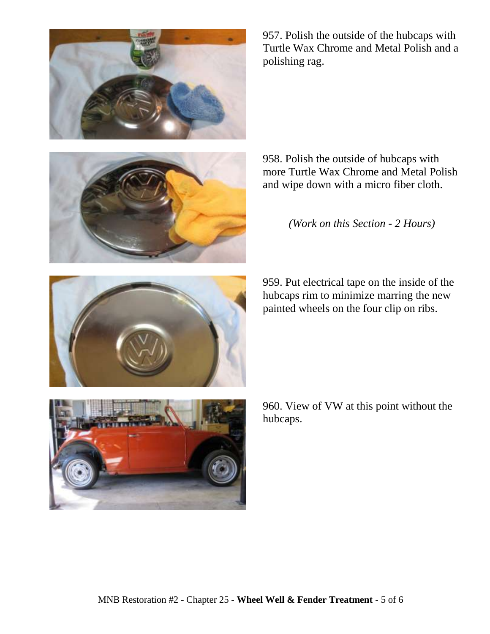

958. Polish the outside of hubcaps with more Turtle Wax Chrome and Metal Polish

and wipe down with a micro fiber cloth.

*(Work on this Section - 2 Hours)*

959. Put electrical tape on the inside of the hubcaps rim to minimize marring the new painted wheels on the four clip on ribs.

MNB Restoration #2 - Chapter 25 - **Wheel Well & Fender Treatment** - 5 of 6







957. Polish the outside of the hubcaps with Turtle Wax Chrome and Metal Polish and a polishing rag.